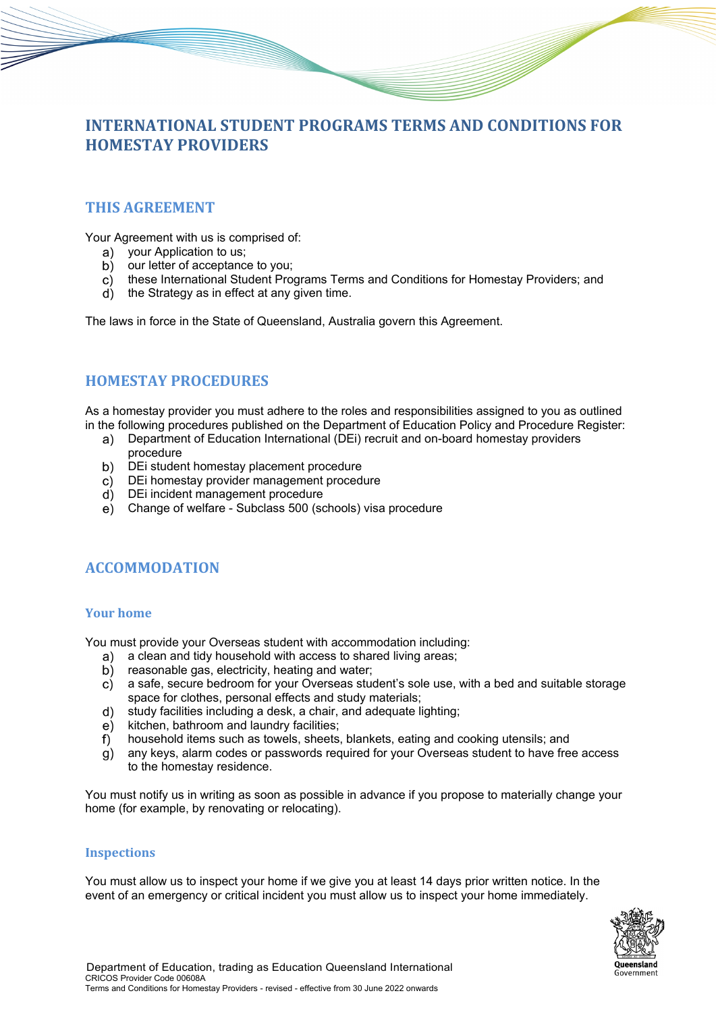# **INTERNATIONAL STUDENT PROGRAMS TERMS AND CONDITIONS FOR HOMESTAY PROVIDERS**

# **THIS AGREEMENT**

Your Agreement with us is comprised of:

- a) your Application to us;
- b) our letter of acceptance to you:
- these International Student Programs Terms and Conditions for Homestay Providers; and
- $\overrightarrow{d}$  the Strategy as in effect at any given time.

The laws in force in the State of Queensland, Australia govern this Agreement.

# **HOMESTAY PROCEDURES**

As a homestay provider you must adhere to the roles and responsibilities assigned to you as outlined in the following procedures published on the Department of Education Policy and Procedure Register:

- Department of Education International (DEi) recruit and on-board homestay providers procedure
- DEi student homestay placement procedure  $b)$
- $\overline{c}$ ) DEi homestay provider management procedure
- DEi incident management procedure
- Change of welfare Subclass 500 (schools) visa procedure

# **ACCOMMODATION**

## **Your home**

You must provide your Overseas student with accommodation including:

- a clean and tidy household with access to shared living areas; a)
- reasonable gas, electricity, heating and water; b)
- a safe, secure bedroom for your Overseas student's sole use, with a bed and suitable storage C) space for clothes, personal effects and study materials;
- study facilities including a desk, a chair, and adequate lighting;  $d)$
- $e)$ kitchen, bathroom and laundry facilities;
- $f$ household items such as towels, sheets, blankets, eating and cooking utensils; and
- any keys, alarm codes or passwords required for your Overseas student to have free access g) to the homestay residence.

You must notify us in writing as soon as possible in advance if you propose to materially change your home (for example, by renovating or relocating).

## **Inspections**

You must allow us to inspect your home if we give you at least 14 days prior written notice. In the event of an emergency or critical incident you must allow us to inspect your home immediately.

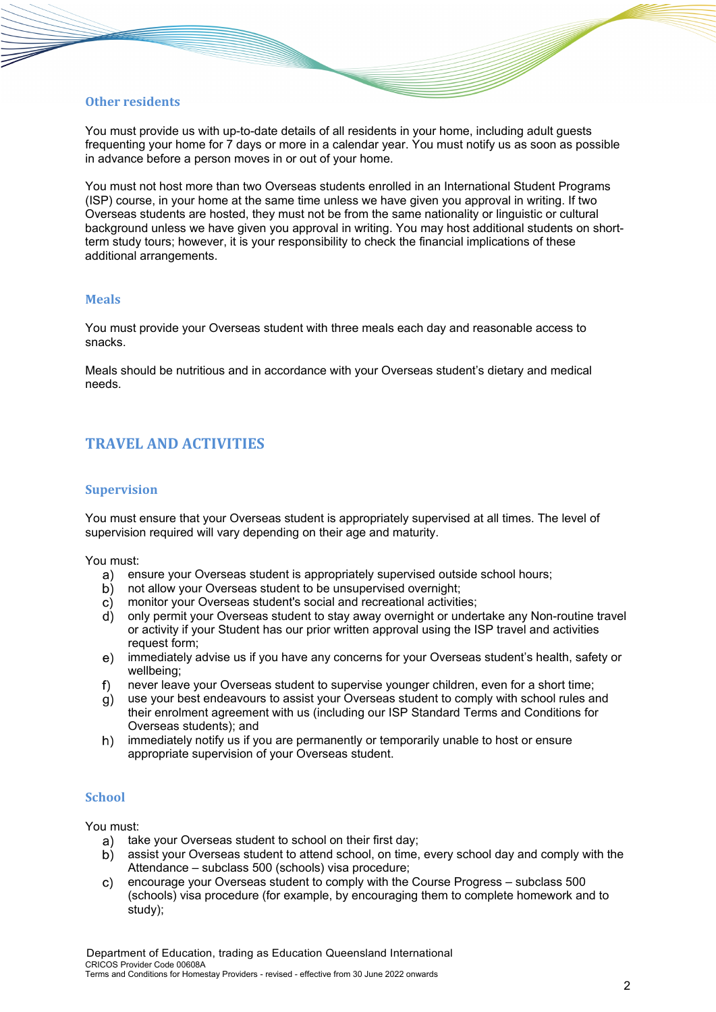# **Other residents**

You must provide us with up-to-date details of all residents in your home, including adult guests frequenting your home for 7 days or more in a calendar year. You must notify us as soon as possible in advance before a person moves in or out of your home.

You must not host more than two Overseas students enrolled in an International Student Programs (ISP) course, in your home at the same time unless we have given you approval in writing. If two Overseas students are hosted, they must not be from the same nationality or linguistic or cultural background unless we have given you approval in writing. You may host additional students on shortterm study tours; however, it is your responsibility to check the financial implications of these additional arrangements.

## **Meals**

You must provide your Overseas student with three meals each day and reasonable access to snacks.

Meals should be nutritious and in accordance with your Overseas student's dietary and medical needs.

# **TRAVEL AND ACTIVITIES**

### **Supervision**

You must ensure that your Overseas student is appropriately supervised at all times. The level of supervision required will vary depending on their age and maturity.

You must:

- ensure your Overseas student is appropriately supervised outside school hours;
- b) not allow your Overseas student to be unsupervised overnight;
- $\mathsf{C}$ ) monitor your Overseas student's social and recreational activities;
- only permit your Overseas student to stay away overnight or undertake any Non-routine travel or activity if your Student has our prior written approval using the ISP travel and activities request form;
- immediately advise us if you have any concerns for your Overseas student's health, safety or wellbeing;
- $f$ never leave your Overseas student to supervise younger children, even for a short time;
- use your best endeavours to assist your Overseas student to comply with school rules and their enrolment agreement with us (including our ISP Standard Terms and Conditions for Overseas students); and
- immediately notify us if you are permanently or temporarily unable to host or ensure  $h)$ appropriate supervision of your Overseas student.

## **School**

You must:

- a) take your Overseas student to school on their first day;
- assist your Overseas student to attend school, on time, every school day and comply with the Attendance – subclass 500 (schools) visa procedure;
- encourage your Overseas student to comply with the Course Progress subclass 500 (schools) visa procedure (for example, by encouraging them to complete homework and to study);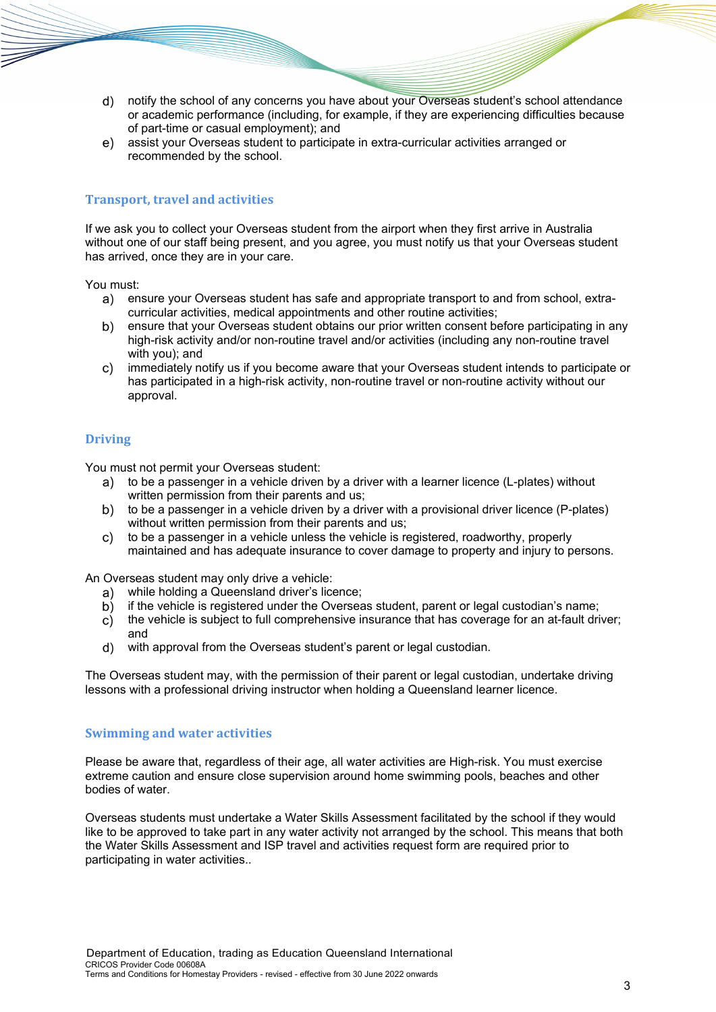- notify the school of any concerns you have about your Overseas student's school attendance or academic performance (including, for example, if they are experiencing difficulties because of part-time or casual employment); and
- $e)$ assist your Overseas student to participate in extra-curricular activities arranged or recommended by the school.

# **Transport, travel and activities**

If we ask you to collect your Overseas student from the airport when they first arrive in Australia without one of our staff being present, and you agree, you must notify us that your Overseas student has arrived, once they are in your care.

You must:

- ensure your Overseas student has safe and appropriate transport to and from school, extracurricular activities, medical appointments and other routine activities;
- ensure that your Overseas student obtains our prior written consent before participating in any b) high-risk activity and/or non-routine travel and/or activities (including any non-routine travel with you); and
- $\mathsf{C}$ ) immediately notify us if you become aware that your Overseas student intends to participate or has participated in a high-risk activity, non-routine travel or non-routine activity without our approval.

## **Driving**

You must not permit your Overseas student:

- a) to be a passenger in a vehicle driven by a driver with a learner licence (L-plates) without written permission from their parents and us;
- b) to be a passenger in a vehicle driven by a driver with a provisional driver licence (P-plates) without written permission from their parents and us:
- to be a passenger in a vehicle unless the vehicle is registered, roadworthy, properly  $\mathsf{C}$ ) maintained and has adequate insurance to cover damage to property and injury to persons.

An Overseas student may only drive a vehicle:

- while holding a Queensland driver's licence;
- if the vehicle is registered under the Overseas student, parent or legal custodian's name; b)
- the vehicle is subject to full comprehensive insurance that has coverage for an at-fault driver;  $\mathbf{C}$ and
- with approval from the Overseas student's parent or legal custodian.  $\mathsf{d}$

The Overseas student may, with the permission of their parent or legal custodian, undertake driving lessons with a professional driving instructor when holding a Queensland learner licence.

#### **Swimming and water activities**

Please be aware that, regardless of their age, all water activities are High-risk. You must exercise extreme caution and ensure close supervision around home swimming pools, beaches and other bodies of water.

Overseas students must undertake a Water Skills Assessment facilitated by the school if they would like to be approved to take part in any water activity not arranged by the school. This means that both the Water Skills Assessment and ISP travel and activities request form are required prior to participating in water activities..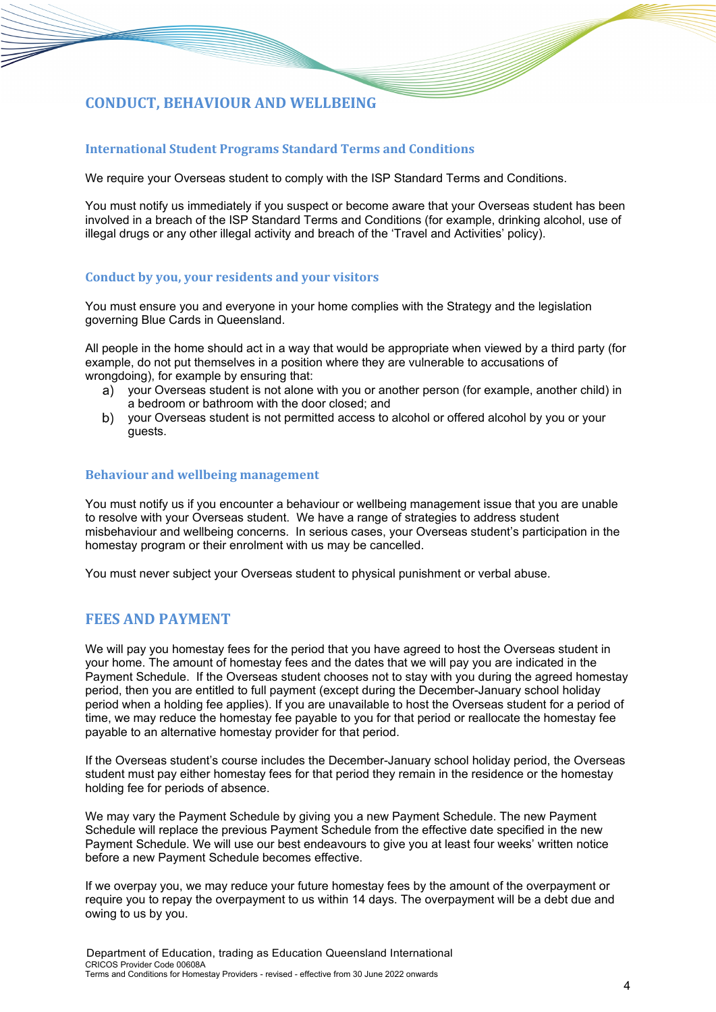# **CONDUCT, BEHAVIOUR AND WELLBEING**

# **International Student Programs Standard Terms and Conditions**

We require your Overseas student to comply with the ISP Standard Terms and Conditions.

You must notify us immediately if you suspect or become aware that your Overseas student has been involved in a breach of the ISP Standard Terms and Conditions (for example, drinking alcohol, use of illegal drugs or any other illegal activity and breach of the 'Travel and Activities' policy).

### **Conduct by you, your residents and your visitors**

You must ensure you and everyone in your home complies with the Strategy and the legislation governing Blue Cards in Queensland.

All people in the home should act in a way that would be appropriate when viewed by a third party (for example, do not put themselves in a position where they are vulnerable to accusations of wrongdoing), for example by ensuring that:

- your Overseas student is not alone with you or another person (for example, another child) in a bedroom or bathroom with the door closed; and
- b) your Overseas student is not permitted access to alcohol or offered alcohol by you or your guests.

#### **Behaviour and wellbeing management**

You must notify us if you encounter a behaviour or wellbeing management issue that you are unable to resolve with your Overseas student. We have a range of strategies to address student misbehaviour and wellbeing concerns. In serious cases, your Overseas student's participation in the homestay program or their enrolment with us may be cancelled.

You must never subject your Overseas student to physical punishment or verbal abuse.

# **FEES AND PAYMENT**

We will pay you homestay fees for the period that you have agreed to host the Overseas student in your home. The amount of homestay fees and the dates that we will pay you are indicated in the Payment Schedule. If the Overseas student chooses not to stay with you during the agreed homestay period, then you are entitled to full payment (except during the December-January school holiday period when a holding fee applies). If you are unavailable to host the Overseas student for a period of time, we may reduce the homestay fee payable to you for that period or reallocate the homestay fee payable to an alternative homestay provider for that period.

If the Overseas student's course includes the December-January school holiday period, the Overseas student must pay either homestay fees for that period they remain in the residence or the homestay holding fee for periods of absence.

We may vary the Payment Schedule by giving you a new Payment Schedule. The new Payment Schedule will replace the previous Payment Schedule from the effective date specified in the new Payment Schedule. We will use our best endeavours to give you at least four weeks' written notice before a new Payment Schedule becomes effective.

If we overpay you, we may reduce your future homestay fees by the amount of the overpayment or require you to repay the overpayment to us within 14 days. The overpayment will be a debt due and owing to us by you.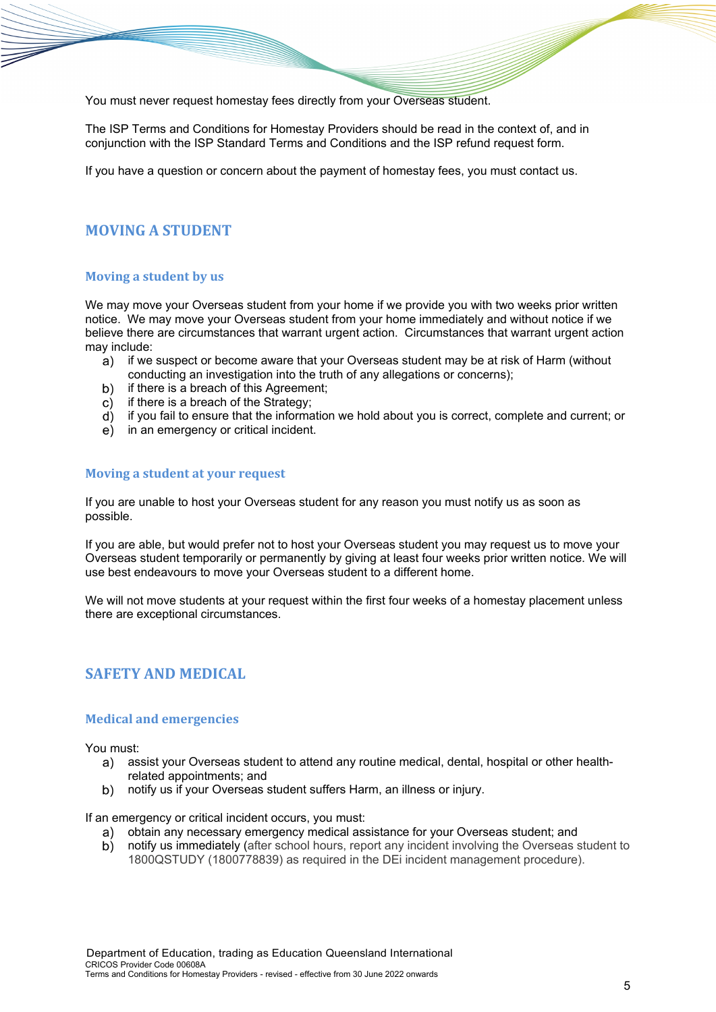You must never request homestay fees directly from your Overseas student.

The ISP Terms and Conditions for Homestay Providers should be read in the context of, and in conjunction with the ISP Standard Terms and Conditions and the ISP refund request form.

If you have a question or concern about the payment of homestay fees, you must contact us.

# **MOVING A STUDENT**

### **Moving a student by us**

We may move your Overseas student from your home if we provide you with two weeks prior written notice. We may move your Overseas student from your home immediately and without notice if we believe there are circumstances that warrant urgent action. Circumstances that warrant urgent action may include:

- $a)$ if we suspect or become aware that your Overseas student may be at risk of Harm (without conducting an investigation into the truth of any allegations or concerns);
- b) if there is a breach of this Agreement;
- $\overrightarrow{c}$  if there is a breach of the Strategy;
- if you fail to ensure that the information we hold about you is correct, complete and current; or
- e) in an emergency or critical incident.

### **Moving a student at your request**

If you are unable to host your Overseas student for any reason you must notify us as soon as possible.

If you are able, but would prefer not to host your Overseas student you may request us to move your Overseas student temporarily or permanently by giving at least four weeks prior written notice. We will use best endeavours to move your Overseas student to a different home.

We will not move students at your request within the first four weeks of a homestay placement unless there are exceptional circumstances.

# **SAFETY AND MEDICAL**

#### **Medical and emergencies**

You must:

- a) assist your Overseas student to attend any routine medical, dental, hospital or other healthrelated appointments; and
- notify us if your Overseas student suffers Harm, an illness or injury.  $b)$

If an emergency or critical incident occurs, you must:

- a) obtain any necessary emergency medical assistance for your Overseas student; and
- notify us immediately (after school hours, report any incident involving the Overseas student to b) 1800QSTUDY (1800778839) as required in the DEi incident management procedure).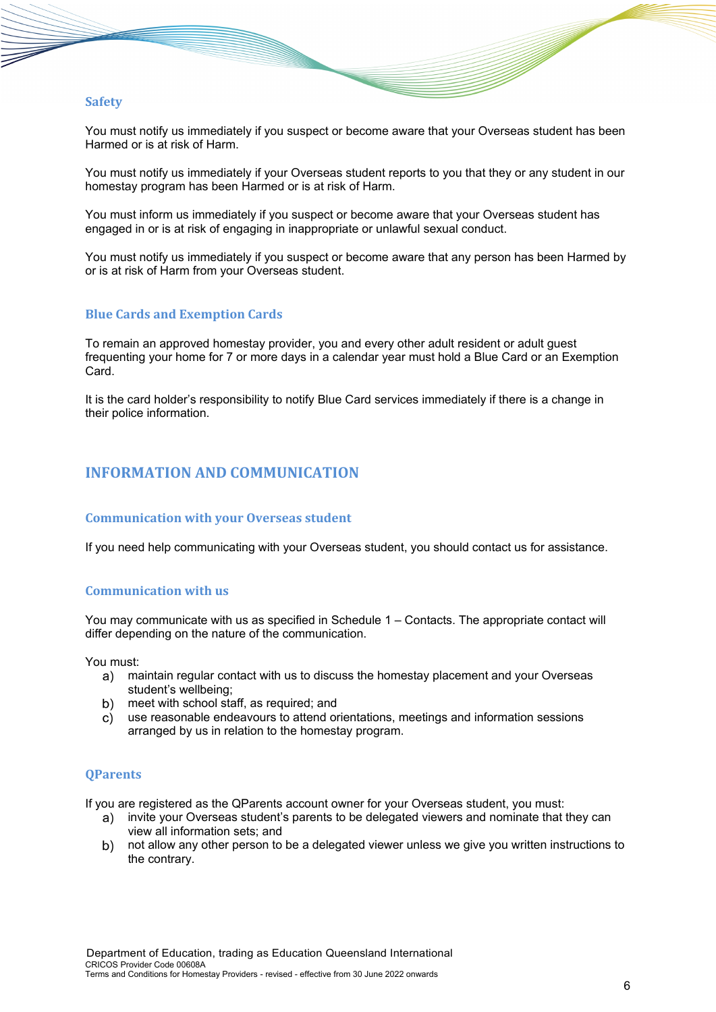## **Safety**

You must notify us immediately if you suspect or become aware that your Overseas student has been Harmed or is at risk of Harm.

You must notify us immediately if your Overseas student reports to you that they or any student in our homestay program has been Harmed or is at risk of Harm.

You must inform us immediately if you suspect or become aware that your Overseas student has engaged in or is at risk of engaging in inappropriate or unlawful sexual conduct.

You must notify us immediately if you suspect or become aware that any person has been Harmed by or is at risk of Harm from your Overseas student.

### **Blue Cards and Exemption Cards**

To remain an approved homestay provider, you and every other adult resident or adult guest frequenting your home for 7 or more days in a calendar year must hold a Blue Card or an Exemption Card.

It is the card holder's responsibility to notify Blue Card services immediately if there is a change in their police information.

# **INFORMATION AND COMMUNICATION**

### **Communication with your Overseas student**

If you need help communicating with your Overseas student, you should contact us for assistance.

#### **Communication with us**

You may communicate with us as specified in Schedule 1 – Contacts. The appropriate contact will differ depending on the nature of the communication.

You must:

- maintain regular contact with us to discuss the homestay placement and your Overseas student's wellbeing;
- meet with school staff, as required; and
- use reasonable endeavours to attend orientations, meetings and information sessions arranged by us in relation to the homestay program.

#### **QParents**

If you are registered as the QParents account owner for your Overseas student, you must:

- invite your Overseas student's parents to be delegated viewers and nominate that they can view all information sets; and
- not allow any other person to be a delegated viewer unless we give you written instructions to the contrary.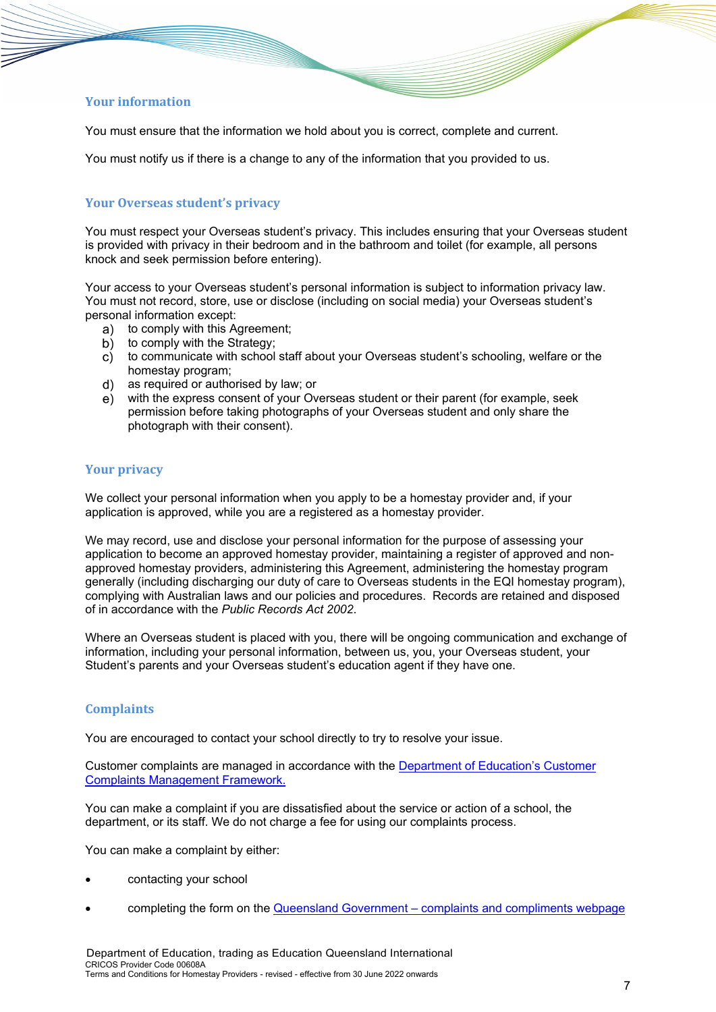# **Your information**

You must ensure that the information we hold about you is correct, complete and current.

You must notify us if there is a change to any of the information that you provided to us.

# **Your Overseas student's privacy**

You must respect your Overseas student's privacy. This includes ensuring that your Overseas student is provided with privacy in their bedroom and in the bathroom and toilet (for example, all persons knock and seek permission before entering).

Your access to your Overseas student's personal information is subject to information privacy law. You must not record, store, use or disclose (including on social media) your Overseas student's personal information except:

- a) to comply with this Agreement;
- to comply with the Strategy;  $\overline{b}$ )
- to communicate with school staff about your Overseas student's schooling, welfare or the C) homestay program;
- as required or authorised by law; or d)
- with the express consent of your Overseas student or their parent (for example, seek permission before taking photographs of your Overseas student and only share the photograph with their consent).

# **Your privacy**

We collect your personal information when you apply to be a homestay provider and, if your application is approved, while you are a registered as a homestay provider.

We may record, use and disclose your personal information for the purpose of assessing your application to become an approved homestay provider, maintaining a register of approved and nonapproved homestay providers, administering this Agreement, administering the homestay program generally (including discharging our duty of care to Overseas students in the EQI homestay program), complying with Australian laws and our policies and procedures. Records are retained and disposed of in accordance with the *Public Records Act 2002*.

Where an Overseas student is placed with you, there will be ongoing communication and exchange of information, including your personal information, between us, you, your Overseas student, your Student's parents and your Overseas student's education agent if they have one.

## **Complaints**

You are encouraged to contact your school directly to try to resolve your issue.

Customer complaints are managed in accordance with the [Department of Education's Customer](https://ppr.qed.qld.gov.au/attachment/customer-complaints-management-framework.pdf)  [Complaints Management Framework.](https://ppr.qed.qld.gov.au/attachment/customer-complaints-management-framework.pdf)

You can make a complaint if you are dissatisfied about the service or action of a school, the department, or its staff. We do not charge a fee for using our complaints process.

You can make a complaint by either:

- contacting your school
- completing the form on the Queensland Government [complaints and compliments webpage](https://www.complaints.services.qld.gov.au/)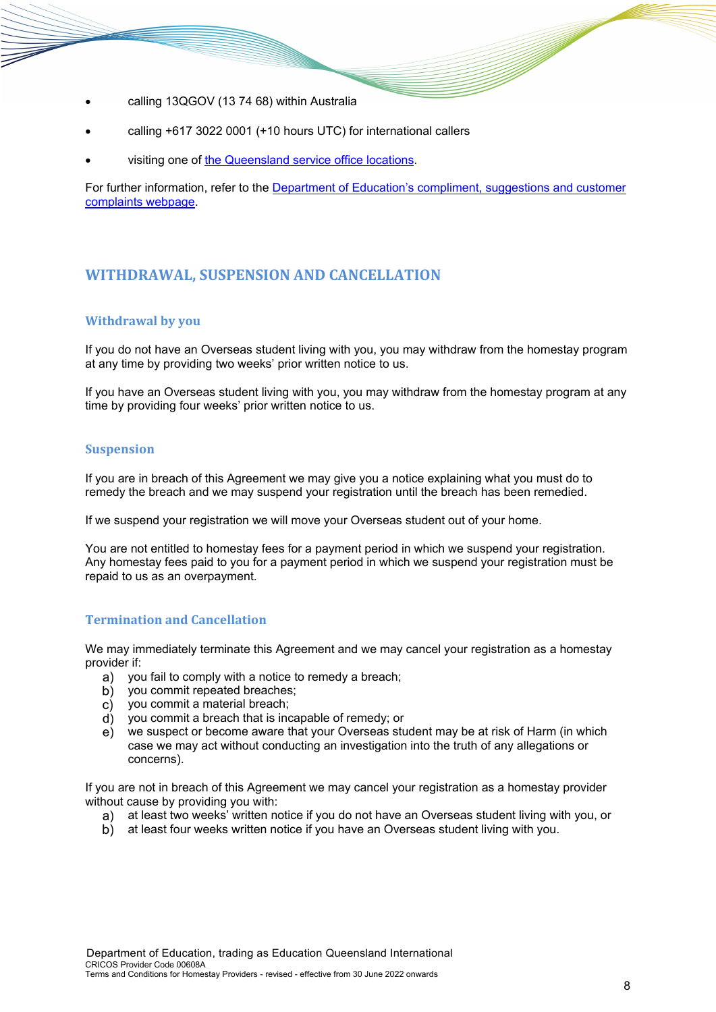- calling 13QGOV (13 74 68) within Australia
- calling +617 3022 0001 (+10 hours UTC) for international callers
- visiting one of [the Queensland service office locations.](https://www.qld.gov.au/about/contact-government/contacts/government-service-offices)

For further information, refer to the [Department of Education's compliment, suggestions and customer](https://qed.qld.gov.au/contact/customer-compliments-complaints)  [complaints webpage.](https://qed.qld.gov.au/contact/customer-compliments-complaints)

# <span id="page-7-0"></span>**WITHDRAWAL, SUSPENSION AND CANCELLATION**

# **Withdrawal by you**

If you do not have an Overseas student living with you, you may withdraw from the homestay program at any time by providing two weeks' prior written notice to us.

If you have an Overseas student living with you, you may withdraw from the homestay program at any time by providing four weeks' prior written notice to us.

## **Suspension**

If you are in breach of this Agreement we may give you a notice explaining what you must do to remedy the breach and we may suspend your registration until the breach has been remedied.

If we suspend your registration we will move your Overseas student out of your home.

You are not entitled to homestay fees for a payment period in which we suspend your registration. Any homestay fees paid to you for a payment period in which we suspend your registration must be repaid to us as an overpayment.

# **Termination and Cancellation**

We may immediately terminate this Agreement and we may cancel your registration as a homestay provider if:

- a) you fail to comply with a notice to remedy a breach;
- b) you commit repeated breaches;
- you commit a material breach;
- $\overrightarrow{d}$  vou commit a breach that is incapable of remedy; or
- we suspect or become aware that your Overseas student may be at risk of Harm (in which case we may act without conducting an investigation into the truth of any allegations or concerns).

If you are not in breach of this Agreement we may cancel your registration as a homestay provider without cause by providing you with:

- a) at least two weeks' written notice if you do not have an Overseas student living with you, or
- b) at least four weeks written notice if you have an Overseas student living with you.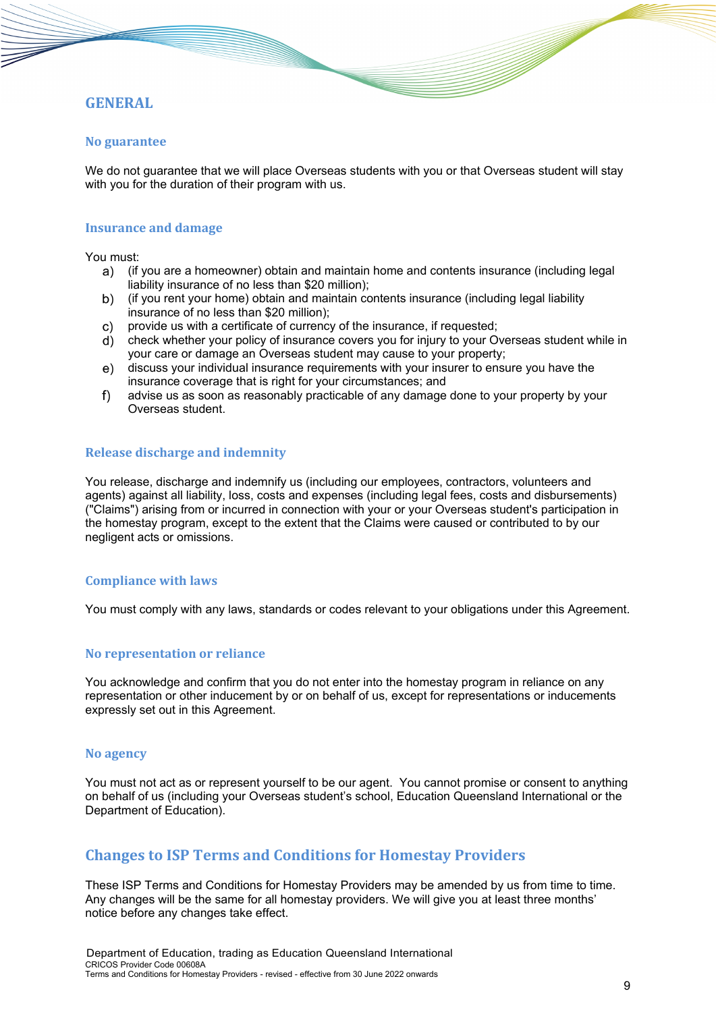# **GENERAL**

### **No guarantee**

We do not guarantee that we will place Overseas students with you or that Overseas student will stay with you for the duration of their program with us.

#### **Insurance and damage**

You must:

- (if you are a homeowner) obtain and maintain home and contents insurance (including legal liability insurance of no less than \$20 million);
- (if you rent your home) obtain and maintain contents insurance (including legal liability insurance of no less than \$20 million);
- provide us with a certificate of currency of the insurance, if requested;  $\mathsf{C}$ )
- check whether your policy of insurance covers you for injury to your Overseas student while in your care or damage an Overseas student may cause to your property;
- discuss your individual insurance requirements with your insurer to ensure you have the insurance coverage that is right for your circumstances; and
- $f$ ) advise us as soon as reasonably practicable of any damage done to your property by your Overseas student.

## **Release discharge and indemnity**

You release, discharge and indemnify us (including our employees, contractors, volunteers and agents) against all liability, loss, costs and expenses (including legal fees, costs and disbursements) ("Claims") arising from or incurred in connection with your or your Overseas student's participation in the homestay program, except to the extent that the Claims were caused or contributed to by our negligent acts or omissions.

#### **Compliance with laws**

You must comply with any laws, standards or codes relevant to your obligations under this Agreement.

#### **No representation or reliance**

You acknowledge and confirm that you do not enter into the homestay program in reliance on any representation or other inducement by or on behalf of us, except for representations or inducements expressly set out in this Agreement.

#### **No agency**

You must not act as or represent yourself to be our agent. You cannot promise or consent to anything on behalf of us (including your Overseas student's school, Education Queensland International or the Department of Education).

# **Changes to ISP Terms and Conditions for Homestay Providers**

These ISP Terms and Conditions for Homestay Providers may be amended by us from time to time. Any changes will be the same for all homestay providers. We will give you at least three months' notice before any changes take effect.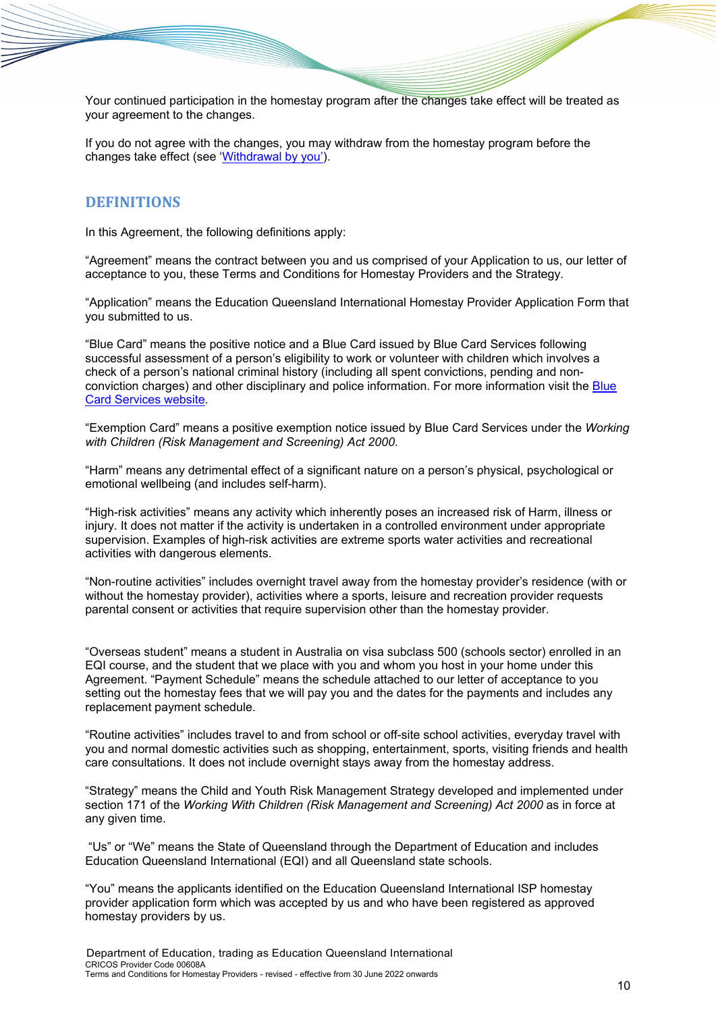Your continued participation in the homestay program after the changes take effect will be treated as your agreement to the changes.

If you do not agree with the changes, you may withdraw from the homestay program before the changes take effect (see ['Withdrawal by you'\)](#page-7-0).

# **DEFINITIONS**

In this Agreement, the following definitions apply:

"Agreement" means the contract between you and us comprised of your Application to us, our letter of acceptance to you, these Terms and Conditions for Homestay Providers and the Strategy.

"Application" means the Education Queensland International Homestay Provider Application Form that you submitted to us.

"Blue Card" means the positive notice and a Blue Card issued by Blue Card Services following successful assessment of a person's eligibility to work or volunteer with children which involves a check of a person's national criminal history (including all spent convictions, pending and nonconviction charges) and other disciplinary and police information. For more information visit the [Blue](https://www.qld.gov.au/law/laws-regulated-industries-and-accountability/queensland-laws-and-regulations/regulated-industries-and-licensing/blue-card-services)  [Card Services website.](https://www.qld.gov.au/law/laws-regulated-industries-and-accountability/queensland-laws-and-regulations/regulated-industries-and-licensing/blue-card-services)

"Exemption Card" means a positive exemption notice issued by Blue Card Services under the *Working with Children (Risk Management and Screening) Act 2000*.

"Harm" means any detrimental effect of a significant nature on a person's physical, psychological or emotional wellbeing (and includes self-harm).

"High-risk activities" means any activity which inherently poses an increased risk of Harm, illness or injury. It does not matter if the activity is undertaken in a controlled environment under appropriate supervision. Examples of high-risk activities are extreme sports water activities and recreational activities with dangerous elements.

"Non-routine activities" includes overnight travel away from the homestay provider's residence (with or without the homestay provider), activities where a sports, leisure and recreation provider requests parental consent or activities that require supervision other than the homestay provider.

"Overseas student" means a student in Australia on visa subclass 500 (schools sector) enrolled in an EQI course, and the student that we place with you and whom you host in your home under this Agreement. "Payment Schedule" means the schedule attached to our letter of acceptance to you setting out the homestay fees that we will pay you and the dates for the payments and includes any replacement payment schedule.

"Routine activities" includes travel to and from school or off-site school activities, everyday travel with you and normal domestic activities such as shopping, entertainment, sports, visiting friends and health care consultations. It does not include overnight stays away from the homestay address.

"Strategy" means the Child and Youth Risk Management Strategy developed and implemented under section 171 of the *Working With Children (Risk Management and Screening) Act 2000* as in force at any given time.

"Us" or "We" means the State of Queensland through the Department of Education and includes Education Queensland International (EQI) and all Queensland state schools.

"You" means the applicants identified on the Education Queensland International ISP homestay provider application form which was accepted by us and who have been registered as approved homestay providers by us.